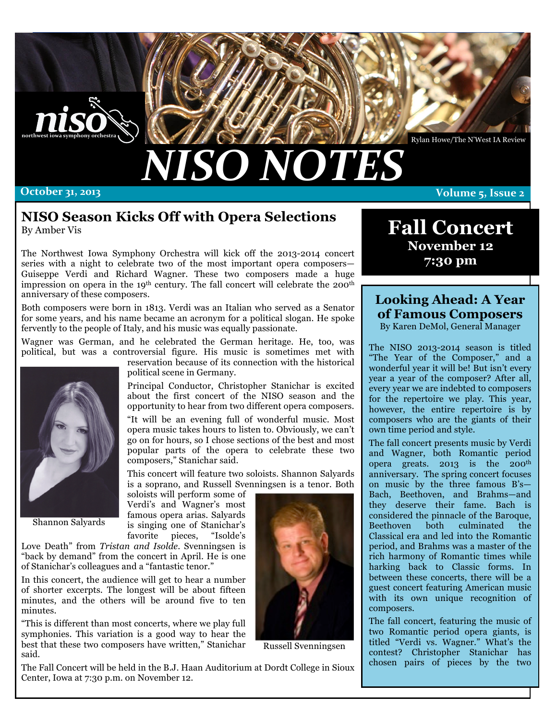

Rylan Howe/The N'West IA Review

*NISO NOTES*

**October 31, 2013 Volume 5, Issue 2**

# **NISO Season Kicks Off with Opera Selections**

By Amber Vis

The Northwest Iowa Symphony Orchestra will kick off the 2013-2014 concert series with a night to celebrate two of the most important opera composers— Guiseppe Verdi and Richard Wagner. These two composers made a huge impression on opera in the 19<sup>th</sup> century. The fall concert will celebrate the 200<sup>th</sup> anniversary of these composers.

Both composers were born in 1813. Verdi was an Italian who served as a Senator for some years, and his name became an acronym for a political slogan. He spoke fervently to the people of Italy, and his music was equally passionate.

Wagner was German, and he celebrated the German heritage. He, too, was political, but was a controversial figure. His music is sometimes met with reservation because of its connection with the historical



Principal Conductor, Christopher Stanichar is excited

political scene in Germany.

about the first concert of the NISO season and the opportunity to hear from two different opera composers.

"It will be an evening full of wonderful music. Most opera music takes hours to listen to. Obviously, we can't go on for hours, so I chose sections of the best and most popular parts of the opera to celebrate these two composers," Stanichar said.

This concert will feature two soloists. Shannon Salyards is a soprano, and Russell Svenningsen is a tenor. Both

soloists will perform some of Verdi's and Wagner's most famous opera arias. Salyards is singing one of Stanichar's favorite pieces, "Isolde's

Love Death" from *Tristan and Isolde*. Svenningsen is "back by demand" from the concert in April. He is one of Stanichar's colleagues and a "fantastic tenor."

In this concert, the audience will get to hear a number of shorter excerpts. The longest will be about fifteen minutes, and the others will be around five to ten minutes.

"This is different than most concerts, where we play full symphonies. This variation is a good way to hear the best that these two composers have written," Stanichar said.

The Fall Concert will be held in the B.J. Haan Auditorium at Dordt College in Sioux Center, Iowa at 7:30 p.m. on November 12.

**Fall Concert November 12 7:30 pm**

#### **Looking Ahead: A Year of Famous Composers** By Karen DeMol, General Manager

The NISO 2013-2014 season is titled "The Year of the Composer," and a wonderful year it will be! But isn't every year a year of the composer? After all, every year we are indebted to composers for the repertoire we play. This year, however, the entire repertoire is by composers who are the giants of their own time period and style.

The fall concert presents music by Verdi and Wagner, both Romantic period opera greats. 2013 is the 200th anniversary. The spring concert focuses on music by the three famous B's— Bach, Beethoven, and Brahms—and they deserve their fame. Bach is considered the pinnacle of the Baroque, Beethoven both culminated the Classical era and led into the Romantic period, and Brahms was a master of the rich harmony of Romantic times while harking back to Classic forms. In between these concerts, there will be a guest concert featuring American music with its own unique recognition of composers.

The fall concert, featuring the music of two Romantic period opera giants, is titled "Verdi vs. Wagner." What's the contest? Christopher Stanichar has chosen pairs of pieces by the two



# Shannon Salyards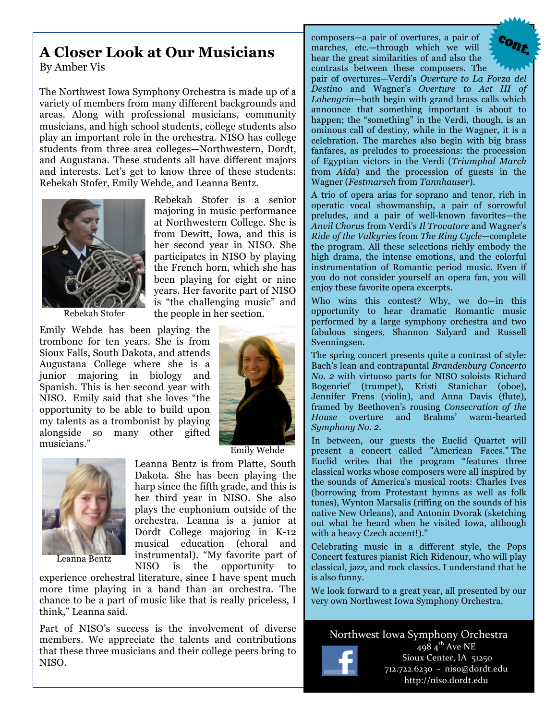

## **A Closer Look at Our Musicians** By Amber Vis

The Northwest Iowa Symphony Orchestra is made up of a variety of members from many different backgrounds and areas. Along with professional musicians, community musicians, and high school students, college students also play an important role in the orchestra. NISO has college students from three area colleges—Northwestern, Dordt, and Augustana. These students all have different majors and interests. Let's get to know three of these students: Rebekah Stofer, Emily Wehde, and Leanna Bentz.



Rebekah Stofer

Emily Wehde has been playing the trombone for ten years. She is from Sioux Falls, South Dakota, and attends Augustana College where she is a junior majoring in biology and Spanish. This is her second year with NISO. Emily said that she loves "the opportunity to be able to build upon my talents as a trombonist by playing alongside so many other gifted musicians."



Leanna Bentz

Rebekah Stofer is a senior majoring in music performance at Northwestern College. She is from Dewitt, Iowa, and this is her second year in NISO. She participates in NISO by playing the French horn, which she has been playing for eight or nine years. Her favorite part of NISO is "the challenging music" and the people in her section.



Emily Wehde

Leanna Bentz is from Platte, South Dakota. She has been playing the harp since the fifth grade, and this is her third year in NISO. She also plays the euphonium outside of the orchestra. Leanna is a junior at Dordt College majoring in K-12 musical education (choral and instrumental). "My favorite part of NISO is the opportunity to

experience orchestral literature, since I have spent much more time playing in a band than an orchestra. The chance to be a part of music like that is really priceless, I think," Leanna said.

Part of NISO's success is the involvement of diverse members. We appreciate the talents and contributions that these three musicians and their college peers bring to NISO.

composers—a pair of overtures, a pair of marches, etc.—through which we will hear the great similarities of and also the contrasts between these composers. The

pair of overtures—Verdi's *Overture to La Forza del Destino* and Wagner's *Overture to Act III of Lohengrin*—both begin with grand brass calls which announce that something important is about to happen; the "something" in the Verdi, though, is an ominous call of destiny, while in the Wagner, it is a celebration. The marches also begin with big brass fanfares, as preludes to processions: the procession of Egyptian victors in the Verdi (*Triumphal March* from *Aida*) and the procession of guests in the Wagner (*Festmarsch* from *Tannhauser*).

A trio of opera arias for soprano and tenor, rich in operatic vocal showmanship, a pair of sorrowful preludes, and a pair of well-known favorites—the *Anvil Chorus* from Verdi's *Il Trovatore* and Wagner's *Ride of the Valkyries* from *The Ring Cycle*—complete the program. All these selections richly embody the high drama, the intense emotions, and the colorful instrumentation of Romantic period music. Even if you do not consider yourself an opera fan, you will enjoy these favorite opera excerpts.

Who wins this contest? Why, we do—in this opportunity to hear dramatic Romantic music performed by a large symphony orchestra and two fabulous singers, Shannon Salyard and Russell Svenningsen.

The spring concert presents quite a contrast of style: Bach's lean and contrapuntal *Brandenburg Concerto No. 2* with virtuoso parts for NISO soloists Richard Bogenrief (trumpet), Kristi Stanichar (oboe), Jennifer Frens (violin), and Anna Davis (flute), framed by Beethoven's rousing *Consecration of the House* overture and Brahms' warm-hearted *Symphony No. 2.*

In between, our guests the Euclid Quartet will present a concert called "American Faces." The Euclid writes that the program "features three classical works whose composers were all inspired by the sounds of America's musical roots: Charles Ives (borrowing from Protestant hymns as well as folk tunes), Wynton Marsalis (riffing on the sounds of his native New Orleans), and Antonin Dvorak (sketching out what he heard when he visited Iowa, although with a heavy Czech accent!)."

Celebrating music in a different style, the Pops Concert features pianist Rich Ridenour, who will play classical, jazz, and rock classics. I understand that he is also funny.

We look forward to a great year, all presented by our very own Northwest Iowa Symphony Orchestra.

### Northwest Iowa Symphony Orchestra



 $498A<sup>th</sup>$  Ave NE Sioux Center, IA 51250 712.722.6230 ‐ niso@dordt.edu http://niso.dordt.edu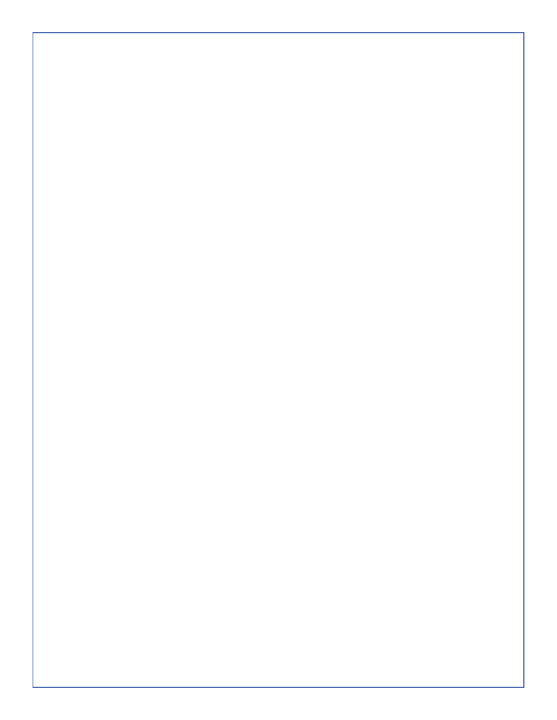